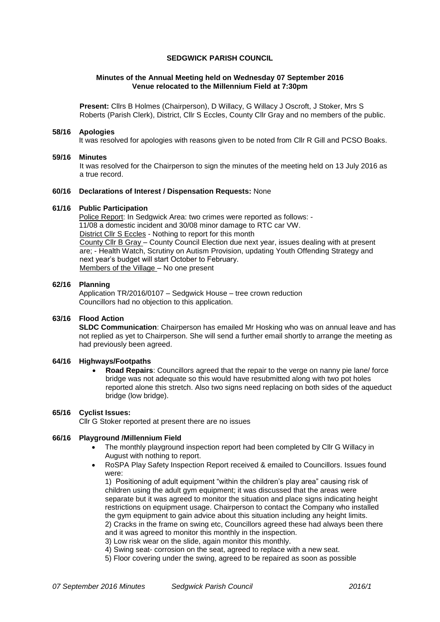## **SEDGWICK PARISH COUNCIL**

## **Minutes of the Annual Meeting held on Wednesday 07 September 2016 Venue relocated to the Millennium Field at 7:30pm**

**Present:** Cllrs B Holmes (Chairperson), D Willacy, G Willacy J Oscroft, J Stoker, Mrs S Roberts (Parish Clerk), District, Cllr S Eccles, County Cllr Gray and no members of the public.

#### **58/16 Apologies**

It was resolved for apologies with reasons given to be noted from Cllr R Gill and PCSO Boaks.

#### **59/16 Minutes**

It was resolved for the Chairperson to sign the minutes of the meeting held on 13 July 2016 as a true record.

# **60/16 Declarations of Interest / Dispensation Requests:** None

# **61/16 Public Participation**

Police Report: In Sedgwick Area: two crimes were reported as follows: - 11/08 a domestic incident and 30/08 minor damage to RTC car VW. District Cllr S Eccles - Nothing to report for this month County Cllr B Gray – County Council Election due next year, issues dealing with at present are; - Health Watch, Scrutiny on Autism Provision, updating Youth Offending Strategy and next year's budget will start October to February. Members of the Village – No one present

#### **62/16 Planning**

Application TR/2016/0107 – Sedgwick House – tree crown reduction Councillors had no objection to this application.

# **63/16 Flood Action**

**SLDC Communication**: Chairperson has emailed Mr Hosking who was on annual leave and has not replied as yet to Chairperson. She will send a further email shortly to arrange the meeting as had previously been agreed.

# **64/16 Highways/Footpaths**

 **Road Repairs**: Councillors agreed that the repair to the verge on nanny pie lane/ force bridge was not adequate so this would have resubmitted along with two pot holes reported alone this stretch. Also two signs need replacing on both sides of the aqueduct bridge (low bridge).

## **65/16 Cyclist Issues:**

Cllr G Stoker reported at present there are no issues

## **66/16 Playground /Millennium Field**

- The monthly playground inspection report had been completed by Cllr G Willacy in August with nothing to report.
- RoSPA Play Safety Inspection Report received & emailed to Councillors. Issues found were:

1) Positioning of adult equipment "within the children's play area" causing risk of children using the adult gym equipment; it was discussed that the areas were separate but it was agreed to monitor the situation and place signs indicating height restrictions on equipment usage. Chairperson to contact the Company who installed the gym equipment to gain advice about this situation including any height limits. 2) Cracks in the frame on swing etc, Councillors agreed these had always been there and it was agreed to monitor this monthly in the inspection.

3) Low risk wear on the slide, again monitor this monthly.

- 4) Swing seat- corrosion on the seat, agreed to replace with a new seat.
- 5) Floor covering under the swing, agreed to be repaired as soon as possible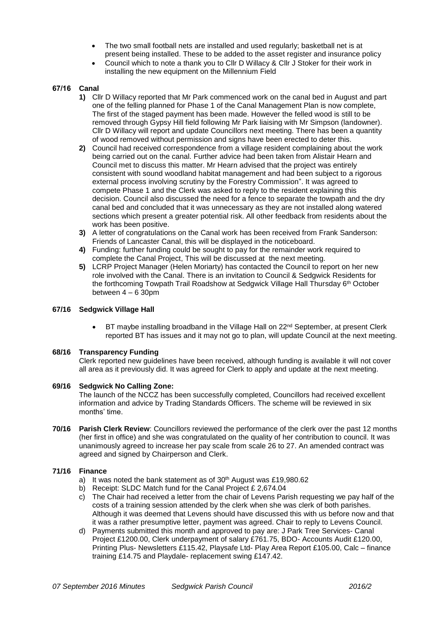- The two small football nets are installed and used regularly; basketball net is at present being installed. These to be added to the asset register and insurance policy
- Council which to note a thank you to Cllr D Willacy & Cllr J Stoker for their work in installing the new equipment on the Millennium Field

# **67/16 Canal**

- **1)** Cllr D Willacy reported that Mr Park commenced work on the canal bed in August and part one of the felling planned for Phase 1 of the Canal Management Plan is now complete, The first of the staged payment has been made. However the felled wood is still to be removed through Gypsy Hill field following Mr Park liaising with Mr Simpson (landowner). Cllr D Willacy will report and update Councillors next meeting. There has been a quantity of wood removed without permission and signs have been erected to deter this.
- **2)** Council had received correspondence from a village resident complaining about the work being carried out on the canal. Further advice had been taken from Alistair Hearn and Council met to discuss this matter. Mr Hearn advised that the project was entirely consistent with sound woodland habitat management and had been subject to a rigorous external process involving scrutiny by the Forestry Commission". It was agreed to compete Phase 1 and the Clerk was asked to reply to the resident explaining this decision. Council also discussed the need for a fence to separate the towpath and the dry canal bed and concluded that it was unnecessary as they are not installed along watered sections which present a greater potential risk. All other feedback from residents about the work has been positive.
- **3)** A letter of congratulations on the Canal work has been received from Frank Sanderson: Friends of Lancaster Canal, this will be displayed in the noticeboard.
- **4)** Funding: further funding could be sought to pay for the remainder work required to complete the Canal Project, This will be discussed at the next meeting.
- **5)** LCRP Project Manager (Helen Moriarty) has contacted the Council to report on her new role involved with the Canal. There is an invitation to Council & Sedgwick Residents for the forthcoming Towpath Trail Roadshow at Sedgwick Village Hall Thursday 6th October between 4 – 6 30pm

## **67/16 Sedgwick Village Hall**

BT maybe installing broadband in the Village Hall on 22<sup>nd</sup> September, at present Clerk reported BT has issues and it may not go to plan, will update Council at the next meeting.

## **68/16 Transparency Funding**

Clerk reported new guidelines have been received, although funding is available it will not cover all area as it previously did. It was agreed for Clerk to apply and update at the next meeting.

## **69/16 Sedgwick No Calling Zone:**

The launch of the NCCZ has been successfully completed, Councillors had received excellent information and advice by Trading Standards Officers. The scheme will be reviewed in six months' time.

**70/16 Parish Clerk Review**: Councillors reviewed the performance of the clerk over the past 12 months (her first in office) and she was congratulated on the quality of her contribution to council. It was unanimously agreed to increase her pay scale from scale 26 to 27. An amended contract was agreed and signed by Chairperson and Clerk.

## **71/16 Finance**

- a) It was noted the bank statement as of 30<sup>th</sup> August was £19,980.62
- b) Receipt: SLDC Match fund for the Canal Project £ 2,674.04
- c) The Chair had received a letter from the chair of Levens Parish requesting we pay half of the costs of a training session attended by the clerk when she was clerk of both parishes. Although it was deemed that Levens should have discussed this with us before now and that it was a rather presumptive letter, payment was agreed. Chair to reply to Levens Council.
- d) Payments submitted this month and approved to pay are: J Park Tree Services- Canal Project £1200.00, Clerk underpayment of salary £761.75, BDO- Accounts Audit £120.00, Printing Plus- Newsletters £115.42, Playsafe Ltd- Play Area Report £105.00, Calc – finance training £14.75 and Playdale- replacement swing £147.42.